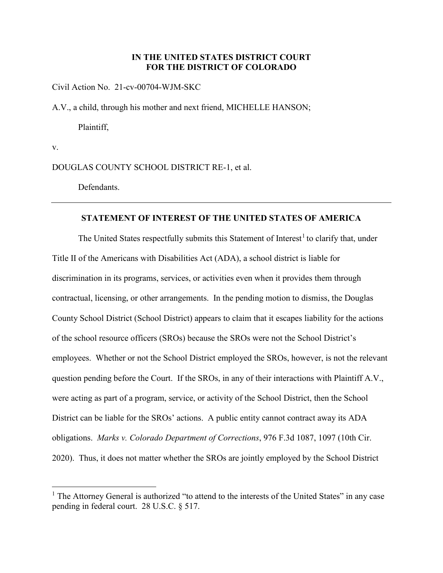## **IN THE UNITED STATES DISTRICT COURT FOR THE DISTRICT OF COLORADO**

Civil Action No. 21-cv-00704-WJM-SKC

A.V., a child, through his mother and next friend, MICHELLE HANSON;

Plaintiff,

v.

 $\overline{a}$ 

DOUGLAS COUNTY SCHOOL DISTRICT RE-1, et al.

Defendants.

#### **STATEMENT OF INTEREST OF THE UNITED STATES OF AMERICA**

The United States respectfully submits this Statement of Interest<sup>[1](#page-0-0)</sup> to clarify that, under Title II of the Americans with Disabilities Act (ADA), a school district is liable for discrimination in its programs, services, or activities even when it provides them through contractual, licensing, or other arrangements. In the pending motion to dismiss, the Douglas County School District (School District) appears to claim that it escapes liability for the actions of the school resource officers (SROs) because the SROs were not the School District's employees. Whether or not the School District employed the SROs, however, is not the relevant question pending before the Court. If the SROs, in any of their interactions with Plaintiff A.V., were acting as part of a program, service, or activity of the School District, then the School District can be liable for the SROs' actions. A public entity cannot contract away its ADA obligations. *Marks v. Colorado Department of Corrections*, 976 F.3d 1087, 1097 (10th Cir. 2020). Thus, it does not matter whether the SROs are jointly employed by the School District

<span id="page-0-0"></span><sup>&</sup>lt;sup>1</sup> The Attorney General is authorized "to attend to the interests of the United States" in any case pending in federal court. 28 U.S.C. § 517.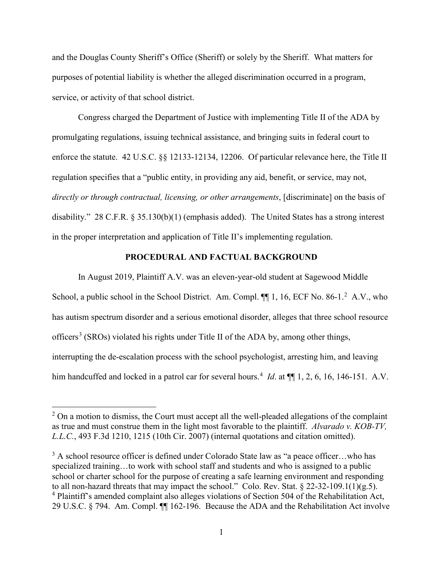and the Douglas County Sheriff's Office (Sheriff) or solely by the Sheriff. What matters for purposes of potential liability is whether the alleged discrimination occurred in a program, service, or activity of that school district.

Congress charged the Department of Justice with implementing Title II of the ADA by promulgating regulations, issuing technical assistance, and bringing suits in federal court to enforce the statute. 42 U.S.C. §§ 12133-12134, 12206. Of particular relevance here, the Title II regulation specifies that a "public entity, in providing any aid, benefit, or service, may not, *directly or through contractual, licensing, or other arrangements*, [discriminate] on the basis of disability." 28 C.F.R. § 35.130(b)(1) (emphasis added). The United States has a strong interest in the proper interpretation and application of Title II's implementing regulation.

### **PROCEDURAL AND FACTUAL BACKGROUND**

In August 2019, Plaintiff A.V. was an eleven-year-old student at Sagewood Middle School, a public school in the School District. Am. Compl.  $\P\P$  1, 16, ECF No. 86-1.<sup>[2](#page-1-0)</sup> A.V., who has autism spectrum disorder and a serious emotional disorder, alleges that three school resource officers<sup>[3](#page-1-1)</sup> (SROs) violated his rights under Title II of the ADA by, among other things, interrupting the de-escalation process with the school psychologist, arresting him, and leaving him handcuffed and locked in a patrol car for several hours.<sup>[4](#page-1-2)</sup> *Id*. at  $\P$  1, 2, 6, 16, 146-151. A.V.

<span id="page-1-0"></span> $2$  On a motion to dismiss, the Court must accept all the well-pleaded allegations of the complaint as true and must construe them in the light most favorable to the plaintiff. *Alvarado v. KOB-TV, L.L.C.*, 493 F.3d 1210, 1215 (10th Cir. 2007) (internal quotations and citation omitted).

<span id="page-1-2"></span><span id="page-1-1"></span> $3$  A school resource officer is defined under Colorado State law as "a peace officer...who has specialized training…to work with school staff and students and who is assigned to a public school or charter school for the purpose of creating a safe learning environment and responding to all non-hazard threats that may impact the school." Colo. Rev. Stat.  $\S 22-32-109.1(1)(g.5)$ . <sup>4</sup> Plaintiff's amended complaint also alleges violations of Section 504 of the Rehabilitation Act, 29 U.S.C. § 794. Am. Compl. ¶¶ 162-196. Because the ADA and the Rehabilitation Act involve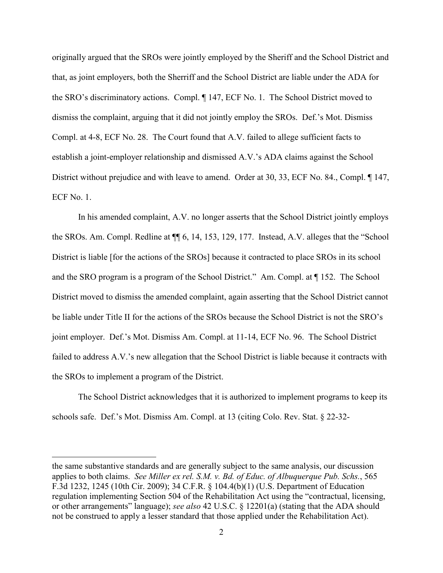originally argued that the SROs were jointly employed by the Sheriff and the School District and that, as joint employers, both the Sherriff and the School District are liable under the ADA for the SRO's discriminatory actions. Compl. ¶ 147, ECF No. 1. The School District moved to dismiss the complaint, arguing that it did not jointly employ the SROs. Def.'s Mot. Dismiss Compl. at 4-8, ECF No. 28. The Court found that A.V. failed to allege sufficient facts to establish a joint-employer relationship and dismissed A.V.'s ADA claims against the School District without prejudice and with leave to amend. Order at 30, 33, ECF No. 84., Compl. ¶ 147, ECF No. 1.

In his amended complaint, A.V. no longer asserts that the School District jointly employs the SROs. Am. Compl. Redline at ¶¶ 6, 14, 153, 129, 177. Instead, A.V. alleges that the "School District is liable [for the actions of the SROs] because it contracted to place SROs in its school and the SRO program is a program of the School District." Am. Compl. at ¶ 152. The School District moved to dismiss the amended complaint, again asserting that the School District cannot be liable under Title II for the actions of the SROs because the School District is not the SRO's joint employer. Def.'s Mot. Dismiss Am. Compl. at 11-14, ECF No. 96. The School District failed to address A.V.'s new allegation that the School District is liable because it contracts with the SROs to implement a program of the District.

The School District acknowledges that it is authorized to implement programs to keep its schools safe. Def.'s Mot. Dismiss Am. Compl. at 13 (citing Colo. Rev. Stat. § 22-32-

the same substantive standards and are generally subject to the same analysis, our discussion applies to both claims. *See Miller ex rel. S.M. v. Bd. of Educ. of Albuquerque Pub. Schs.*, 565 F.3d 1232, 1245 (10th Cir. 2009); 34 C.F.R. § 104.4(b)(1) (U.S. Department of Education regulation implementing Section 504 of the Rehabilitation Act using the "contractual, licensing, or other arrangements" language); *see also* 42 U.S.C. § 12201(a) (stating that the ADA should not be construed to apply a lesser standard that those applied under the Rehabilitation Act).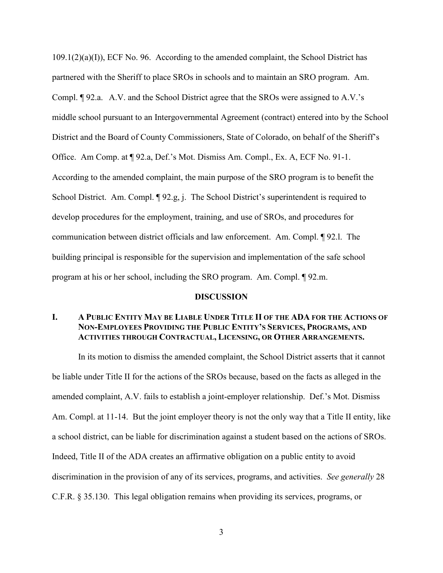$109.1(2)(a)(I)$ , ECF No. 96. According to the amended complaint, the School District has partnered with the Sheriff to place SROs in schools and to maintain an SRO program. Am. Compl. ¶ 92.a. A.V. and the School District agree that the SROs were assigned to A.V.'s middle school pursuant to an Intergovernmental Agreement (contract) entered into by the School District and the Board of County Commissioners, State of Colorado, on behalf of the Sheriff's Office. Am Comp. at ¶ 92.a, Def.'s Mot. Dismiss Am. Compl., Ex. A, ECF No. 91-1. According to the amended complaint, the main purpose of the SRO program is to benefit the School District. Am. Compl.  $\lbrack \! \lbrack 92.g, j. \rbrack$  The School District's superintendent is required to develop procedures for the employment, training, and use of SROs, and procedures for communication between district officials and law enforcement. Am. Compl. ¶ 92.l. The building principal is responsible for the supervision and implementation of the safe school program at his or her school, including the SRO program. Am. Compl. ¶ 92.m.

#### **DISCUSSION**

## **I. A PUBLIC ENTITY MAY BE LIABLE UNDER TITLE II OF THE ADA FOR THE ACTIONS OF NON-EMPLOYEES PROVIDING THE PUBLIC ENTITY'S SERVICES, PROGRAMS, AND ACTIVITIES THROUGH CONTRACTUAL, LICENSING, OR OTHER ARRANGEMENTS.**

In its motion to dismiss the amended complaint, the School District asserts that it cannot be liable under Title II for the actions of the SROs because, based on the facts as alleged in the amended complaint, A.V. fails to establish a joint-employer relationship. Def.'s Mot. Dismiss Am. Compl. at 11-14. But the joint employer theory is not the only way that a Title II entity, like a school district, can be liable for discrimination against a student based on the actions of SROs. Indeed, Title II of the ADA creates an affirmative obligation on a public entity to avoid discrimination in the provision of any of its services, programs, and activities. *See generally* 28 C.F.R. § 35.130. This legal obligation remains when providing its services, programs, or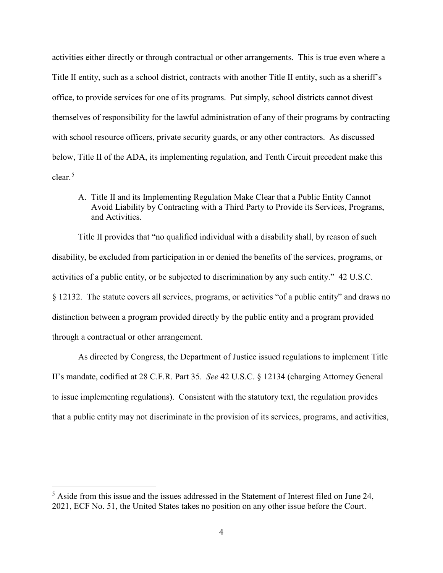activities either directly or through contractual or other arrangements. This is true even where a Title II entity, such as a school district, contracts with another Title II entity, such as a sheriff's office, to provide services for one of its programs. Put simply, school districts cannot divest themselves of responsibility for the lawful administration of any of their programs by contracting with school resource officers, private security guards, or any other contractors. As discussed below, Title II of the ADA, its implementing regulation, and Tenth Circuit precedent make this clear.<sup>[5](#page-4-0)</sup>

# A. Title II and its Implementing Regulation Make Clear that a Public Entity Cannot Avoid Liability by Contracting with a Third Party to Provide its Services, Programs, and Activities.

Title II provides that "no qualified individual with a disability shall, by reason of such disability, be excluded from participation in or denied the benefits of the services, programs, or activities of a public entity, or be subjected to discrimination by any such entity." 42 U.S.C. § 12132. The statute covers all services, programs, or activities "of a public entity" and draws no distinction between a program provided directly by the public entity and a program provided through a contractual or other arrangement.

As directed by Congress, the Department of Justice issued regulations to implement Title II's mandate, codified at 28 C.F.R. Part 35. *See* 42 U.S.C. § 12134 (charging Attorney General to issue implementing regulations). Consistent with the statutory text, the regulation provides that a public entity may not discriminate in the provision of its services, programs, and activities,

<span id="page-4-0"></span> $<sup>5</sup>$  Aside from this issue and the issues addressed in the Statement of Interest filed on June 24,</sup> 2021, ECF No. 51, the United States takes no position on any other issue before the Court.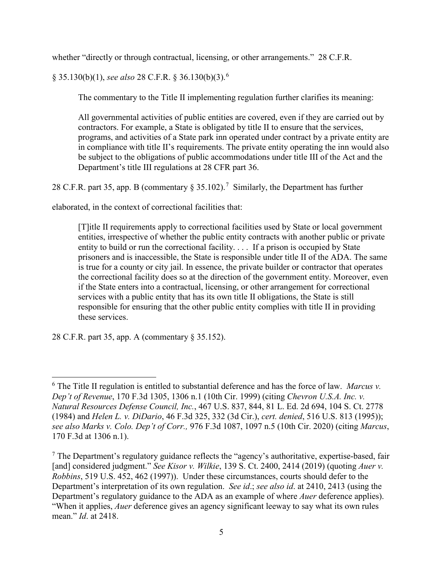whether "directly or through contractual, licensing, or other arrangements." 28 C.F.R.

§ 35.130(b)(1), *see also* 28 C.F.R. § 36.130(b)(3).[6](#page-5-0)

The commentary to the Title II implementing regulation further clarifies its meaning:

All governmental activities of public entities are covered, even if they are carried out by contractors. For example, a State is obligated by title II to ensure that the services, programs, and activities of a State park inn operated under contract by a private entity are in compliance with title II's requirements. The private entity operating the inn would also be subject to the obligations of public accommodations under title III of the Act and the Department's title III regulations at 28 CFR part 36.

28 C.F.R. part 35, app. B (commentary  $\S 35.102$ ).<sup>[7](#page-5-1)</sup> Similarly, the Department has further

elaborated, in the context of correctional facilities that:

[T]itle II requirements apply to correctional facilities used by State or local government entities, irrespective of whether the public entity contracts with another public or private entity to build or run the correctional facility. . . . If a prison is occupied by State prisoners and is inaccessible, the State is responsible under title II of the ADA. The same is true for a county or city jail. In essence, the private builder or contractor that operates the correctional facility does so at the direction of the government entity. Moreover, even if the State enters into a contractual, licensing, or other arrangement for correctional services with a public entity that has its own title II obligations, the State is still responsible for ensuring that the other public entity complies with title II in providing these services.

28 C.F.R. part 35, app. A (commentary § 35.152).

<span id="page-5-0"></span> $\overline{a}$ <sup>6</sup> The Title II regulation is entitled to substantial deference and has the force of law. *Marcus v. Dep't of Revenue*, 170 F.3d 1305, 1306 n.1 (10th Cir. 1999) (citing *Chevron U.S.A. Inc. v. Natural Resources Defense Council, Inc.*, 467 U.S. 837, 844, 81 L. Ed. 2d 694, 104 S. Ct. 2778 (1984) and *Helen L. v. DiDario*, 46 F.3d 325, 332 (3d Cir.), *cert. denied*, 516 U.S. 813 (1995)); *see also Marks v. Colo. Dep't of Corr.,* 976 F.3d 1087, 1097 n.5 (10th Cir. 2020) (citing *Marcus*, 170 F.3d at 1306 n.1).

<span id="page-5-1"></span> $<sup>7</sup>$  The Department's regulatory guidance reflects the "agency's authoritative, expertise-based, fair</sup> [and] considered judgment." *See Kisor v. Wilkie*, 139 S. Ct. 2400, 2414 (2019) (quoting *Auer v. Robbins*, 519 U.S. 452, 462 (1997)). Under these circumstances, courts should defer to the Department's interpretation of its own regulation. *See id*.; *see also id*. at 2410, 2413 (using the Department's regulatory guidance to the ADA as an example of where *Auer* deference applies). "When it applies, *Auer* deference gives an agency significant leeway to say what its own rules mean." *Id*. at 2418.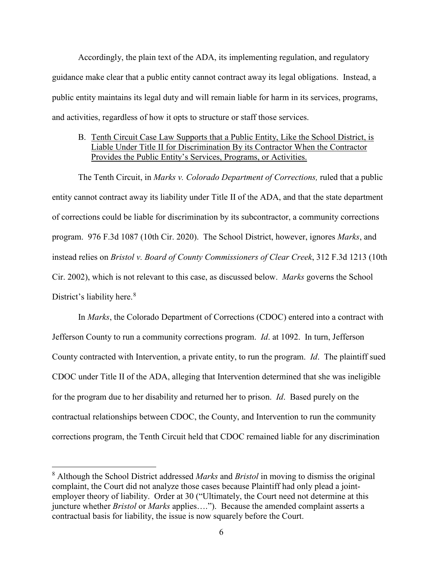Accordingly, the plain text of the ADA, its implementing regulation, and regulatory guidance make clear that a public entity cannot contract away its legal obligations. Instead, a public entity maintains its legal duty and will remain liable for harm in its services, programs, and activities, regardless of how it opts to structure or staff those services.

## B. Tenth Circuit Case Law Supports that a Public Entity, Like the School District, is Liable Under Title II for Discrimination By its Contractor When the Contractor Provides the Public Entity's Services, Programs, or Activities.

The Tenth Circuit, in *Marks v. Colorado Department of Corrections,* ruled that a public entity cannot contract away its liability under Title II of the ADA, and that the state department of corrections could be liable for discrimination by its subcontractor, a community corrections program. 976 F.3d 1087 (10th Cir. 2020). The School District, however, ignores *Marks*, and instead relies on *Bristol v. Board of County Commissioners of Clear Creek*, 312 F.3d 1213 (10th Cir. 2002), which is not relevant to this case, as discussed below. *Marks* governs the School District's liability here.<sup>[8](#page-6-0)</sup>

In *Marks*, the Colorado Department of Corrections (CDOC) entered into a contract with Jefferson County to run a community corrections program. *Id*. at 1092. In turn, Jefferson County contracted with Intervention, a private entity, to run the program. *Id*. The plaintiff sued CDOC under Title II of the ADA, alleging that Intervention determined that she was ineligible for the program due to her disability and returned her to prison. *Id*. Based purely on the contractual relationships between CDOC, the County, and Intervention to run the community corrections program, the Tenth Circuit held that CDOC remained liable for any discrimination

<span id="page-6-0"></span><sup>8</sup> Although the School District addressed *Marks* and *Bristol* in moving to dismiss the original complaint, the Court did not analyze those cases because Plaintiff had only plead a jointemployer theory of liability. Order at 30 ("Ultimately, the Court need not determine at this juncture whether *Bristol* or *Marks* applies…."). Because the amended complaint asserts a contractual basis for liability, the issue is now squarely before the Court.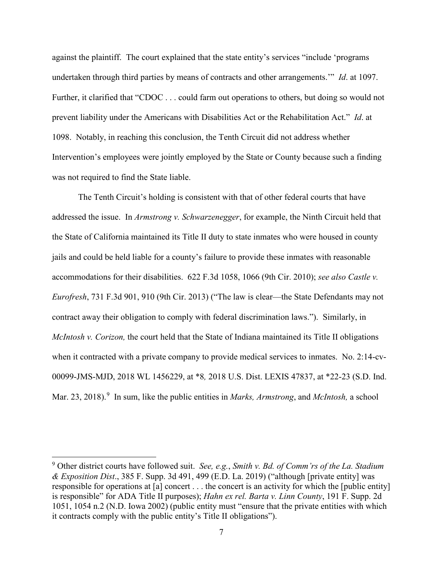against the plaintiff. The court explained that the state entity's services "include 'programs undertaken through third parties by means of contracts and other arrangements.'" *Id*. at 1097. Further, it clarified that "CDOC . . . could farm out operations to others, but doing so would not prevent liability under the Americans with Disabilities Act or the Rehabilitation Act." *Id*. at 1098. Notably, in reaching this conclusion, the Tenth Circuit did not address whether Intervention's employees were jointly employed by the State or County because such a finding was not required to find the State liable.

The Tenth Circuit's holding is consistent with that of other federal courts that have addressed the issue. In *Armstrong v. Schwarzenegger*, for example, the Ninth Circuit held that the State of California maintained its Title II duty to state inmates who were housed in county jails and could be held liable for a county's failure to provide these inmates with reasonable accommodations for their disabilities. 622 F.3d 1058, 1066 (9th Cir. 2010); *see also Castle v. Eurofresh*, 731 F.3d 901, 910 (9th Cir. 2013) ("The law is clear—the State Defendants may not contract away their obligation to comply with federal discrimination laws."). Similarly, in *McIntosh v. Corizon,* the court held that the State of Indiana maintained its Title II obligations when it contracted with a private company to provide medical services to inmates. No. 2:14-cv-00099-JMS-MJD, 2018 WL 1456229, at \*8*,* 2018 U.S. Dist. LEXIS 47837, at \*22-23 (S.D. Ind. Mar. 23, 2018). [9](#page-7-0) In sum, like the public entities in *Marks, Armstrong*, and *McIntosh,* a school

<span id="page-7-0"></span> <sup>9</sup> Other district courts have followed suit. *See, e.g.*, *Smith v. Bd. of Comm'rs of the La. Stadium & Exposition Dist*., 385 F. Supp. 3d 491, 499 (E.D. La. 2019) ("although [private entity] was responsible for operations at [a] concert . . . the concert is an activity for which the [public entity] is responsible" for ADA Title II purposes); *Hahn ex rel. Barta v. Linn County*, 191 F. Supp. 2d 1051, 1054 n.2 (N.D. Iowa 2002) (public entity must "ensure that the private entities with which it contracts comply with the public entity's Title II obligations").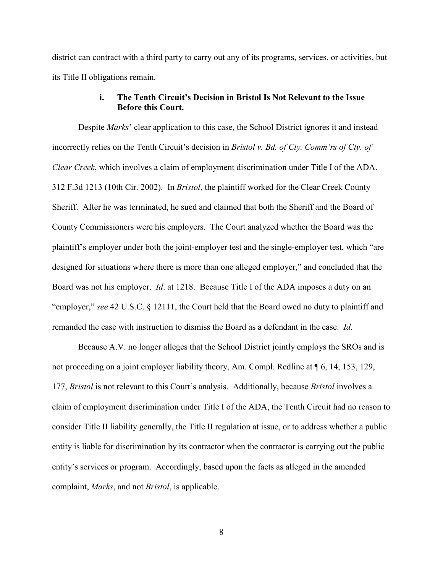district can contract with a third party to carry out any of its programs, services, or activities, but its Title II obligations remain.

# **i. The Tenth Circuit's Decision in Bristol Is Not Relevant to the Issue Before this Court.**

Despite *Marks*' clear application to this case, the School District ignores it and instead incorrectly relies on the Tenth Circuit's decision in *Bristol v. Bd. of Cty. Comm'rs of Cty. of Clear Creek*, which involves a claim of employment discrimination under Title I of the ADA. 312 F.3d 1213 (10th Cir. 2002). In *Bristol*, the plaintiff worked for the Clear Creek County Sheriff. After he was terminated, he sued and claimed that both the Sheriff and the Board of County Commissioners were his employers. The Court analyzed whether the Board was the plaintiff's employer under both the joint-employer test and the single-employer test, which "are designed for situations where there is more than one alleged employer," and concluded that the Board was not his employer. *Id*. at 1218. Because Title I of the ADA imposes a duty on an "employer," *see* 42 U.S.C. § 12111, the Court held that the Board owed no duty to plaintiff and remanded the case with instruction to dismiss the Board as a defendant in the case. *Id*.

Because A.V. no longer alleges that the School District jointly employs the SROs and is not proceeding on a joint employer liability theory, Am. Compl. Redline at ¶ 6, 14, 153, 129, 177, *Bristol* is not relevant to this Court's analysis. Additionally, because *Bristol* involves a claim of employment discrimination under Title I of the ADA, the Tenth Circuit had no reason to consider Title II liability generally, the Title II regulation at issue, or to address whether a public entity is liable for discrimination by its contractor when the contractor is carrying out the public entity's services or program. Accordingly, based upon the facts as alleged in the amended complaint, *Marks*, and not *Bristol*, is applicable.

8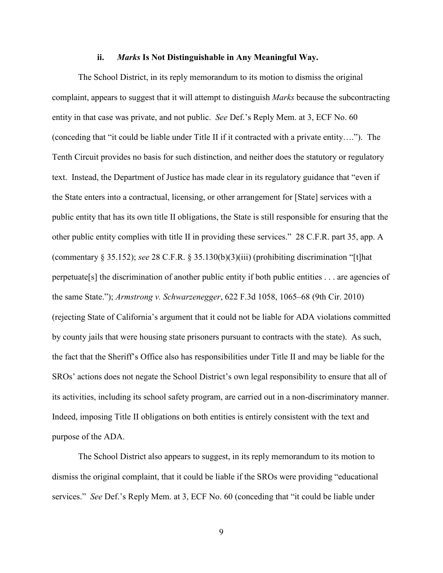#### **ii.** *Marks* **Is Not Distinguishable in Any Meaningful Way.**

The School District, in its reply memorandum to its motion to dismiss the original complaint, appears to suggest that it will attempt to distinguish *Marks* because the subcontracting entity in that case was private, and not public. *See* Def.'s Reply Mem. at 3, ECF No. 60 (conceding that "it could be liable under Title II if it contracted with a private entity…."). The Tenth Circuit provides no basis for such distinction, and neither does the statutory or regulatory text. Instead, the Department of Justice has made clear in its regulatory guidance that "even if the State enters into a contractual, licensing, or other arrangement for [State] services with a public entity that has its own title II obligations, the State is still responsible for ensuring that the other public entity complies with title II in providing these services." 28 C.F.R. part 35, app. A (commentary § 35.152); *see* 28 C.F.R. § 35.130(b)(3)(iii) (prohibiting discrimination "[t]hat perpetuate[s] the discrimination of another public entity if both public entities . . . are agencies of the same State."); *Armstrong v. Schwarzenegger*, 622 F.3d 1058, 1065–68 (9th Cir. 2010) (rejecting State of California's argument that it could not be liable for ADA violations committed by county jails that were housing state prisoners pursuant to contracts with the state). As such, the fact that the Sheriff's Office also has responsibilities under Title II and may be liable for the SROs' actions does not negate the School District's own legal responsibility to ensure that all of its activities, including its school safety program, are carried out in a non-discriminatory manner. Indeed, imposing Title II obligations on both entities is entirely consistent with the text and purpose of the ADA.

The School District also appears to suggest, in its reply memorandum to its motion to dismiss the original complaint, that it could be liable if the SROs were providing "educational services." *See* Def.'s Reply Mem. at 3, ECF No. 60 (conceding that "it could be liable under

9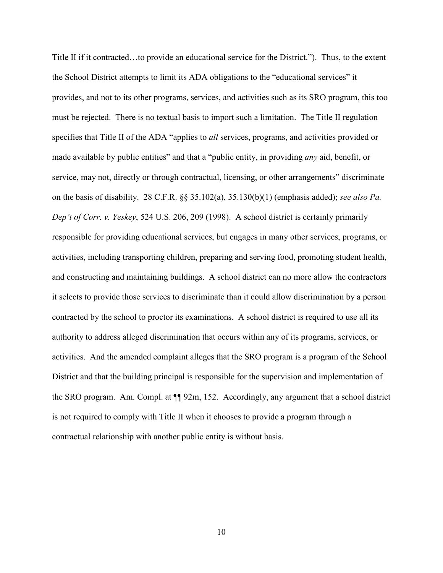Title II if it contracted…to provide an educational service for the District."). Thus, to the extent the School District attempts to limit its ADA obligations to the "educational services" it provides, and not to its other programs, services, and activities such as its SRO program, this too must be rejected. There is no textual basis to import such a limitation. The Title II regulation specifies that Title II of the ADA "applies to *all* services, programs, and activities provided or made available by public entities" and that a "public entity, in providing *any* aid, benefit, or service, may not, directly or through contractual, licensing, or other arrangements" discriminate on the basis of disability. 28 C.F.R. §§ 35.102(a), 35.130(b)(1) (emphasis added); *see also Pa. Dep't of Corr. v. Yeskey*, 524 U.S. 206, 209 (1998). A school district is certainly primarily responsible for providing educational services, but engages in many other services, programs, or activities, including transporting children, preparing and serving food, promoting student health, and constructing and maintaining buildings. A school district can no more allow the contractors it selects to provide those services to discriminate than it could allow discrimination by a person contracted by the school to proctor its examinations. A school district is required to use all its authority to address alleged discrimination that occurs within any of its programs, services, or activities. And the amended complaint alleges that the SRO program is a program of the School District and that the building principal is responsible for the supervision and implementation of the SRO program. Am. Compl. at ¶¶ 92m, 152. Accordingly, any argument that a school district is not required to comply with Title II when it chooses to provide a program through a contractual relationship with another public entity is without basis.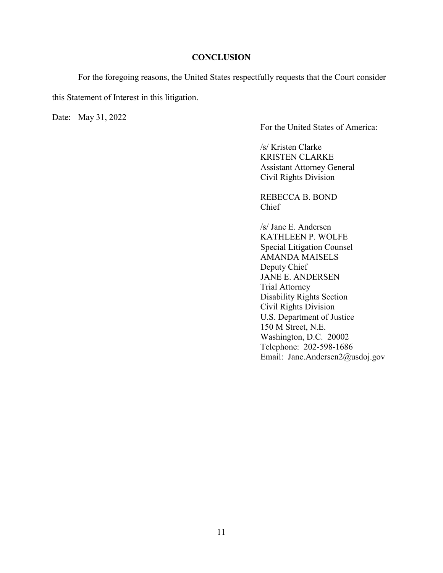#### **CONCLUSION**

 For the foregoing reasons, the United States respectfully requests that the Court consider this Statement of Interest in this litigation.

Date: May 31, 2022

For the United States of America:

/s/ Kristen Clarke KRISTEN CLARKE Assistant Attorney General Civil Rights Division

REBECCA B. BOND Chief

/s/ Jane E. Andersen KATHLEEN P. WOLFE Special Litigation Counsel AMANDA MAISELS Deputy Chief JANE E. ANDERSEN Trial Attorney Disability Rights Section Civil Rights Division U.S. Department of Justice 150 M Street, N.E. Washington, D.C. 20002 Telephone: 202-598-1686 Email: Jane.Andersen2@usdoj.gov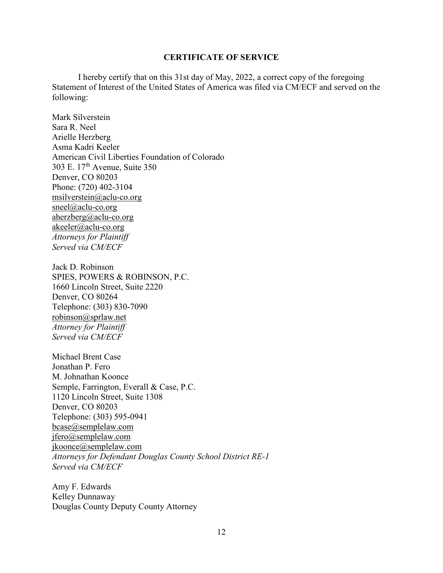#### **CERTIFICATE OF SERVICE**

I hereby certify that on this 31st day of May, 2022, a correct copy of the foregoing Statement of Interest of the United States of America was filed via CM/ECF and served on the following:

Mark Silverstein Sara R. Neel Arielle Herzberg Asma Kadri Keeler American Civil Liberties Foundation of Colorado 303 E.  $17<sup>th</sup>$  Avenue, Suite 350 Denver, CO 80203 Phone: (720) 402-3104 [msilverstein@aclu-co.org](mailto:msilverstein@aclu-co.org) [sneel@aclu-co.org](mailto:sneel@aclu-co.org) [aherzberg@aclu-co.org](mailto:aherzberg@aclu-co.org) akeeler@aclu-co.org *Attorneys for Plaintiff Served via CM/ECF*

Jack D. Robinson SPIES, POWERS & ROBINSON, P.C. 1660 Lincoln Street, Suite 2220 Denver, CO 80264 Telephone: (303) 830-7090 [robinson@sprlaw.net](mailto:robinson@sprlaw.net) *Attorney for Plaintiff Served via CM/ECF*

Michael Brent Case Jonathan P. Fero M. Johnathan Koonce Semple, Farrington, Everall & Case, P.C. 1120 Lincoln Street, Suite 1308 Denver, CO 80203 Telephone: (303) 595-0941 [bcase@semplelaw.com](mailto:bcase@semplelaw.com) [jfero@semplelaw.com](mailto:jfero@semplelaw.com) [jkoonce@semplelaw.com](mailto:jkoonce@semplelaw.com) *Attorneys for Defendant Douglas County School District RE-1 Served via CM/ECF*

Amy F. Edwards Kelley Dunnaway Douglas County Deputy County Attorney